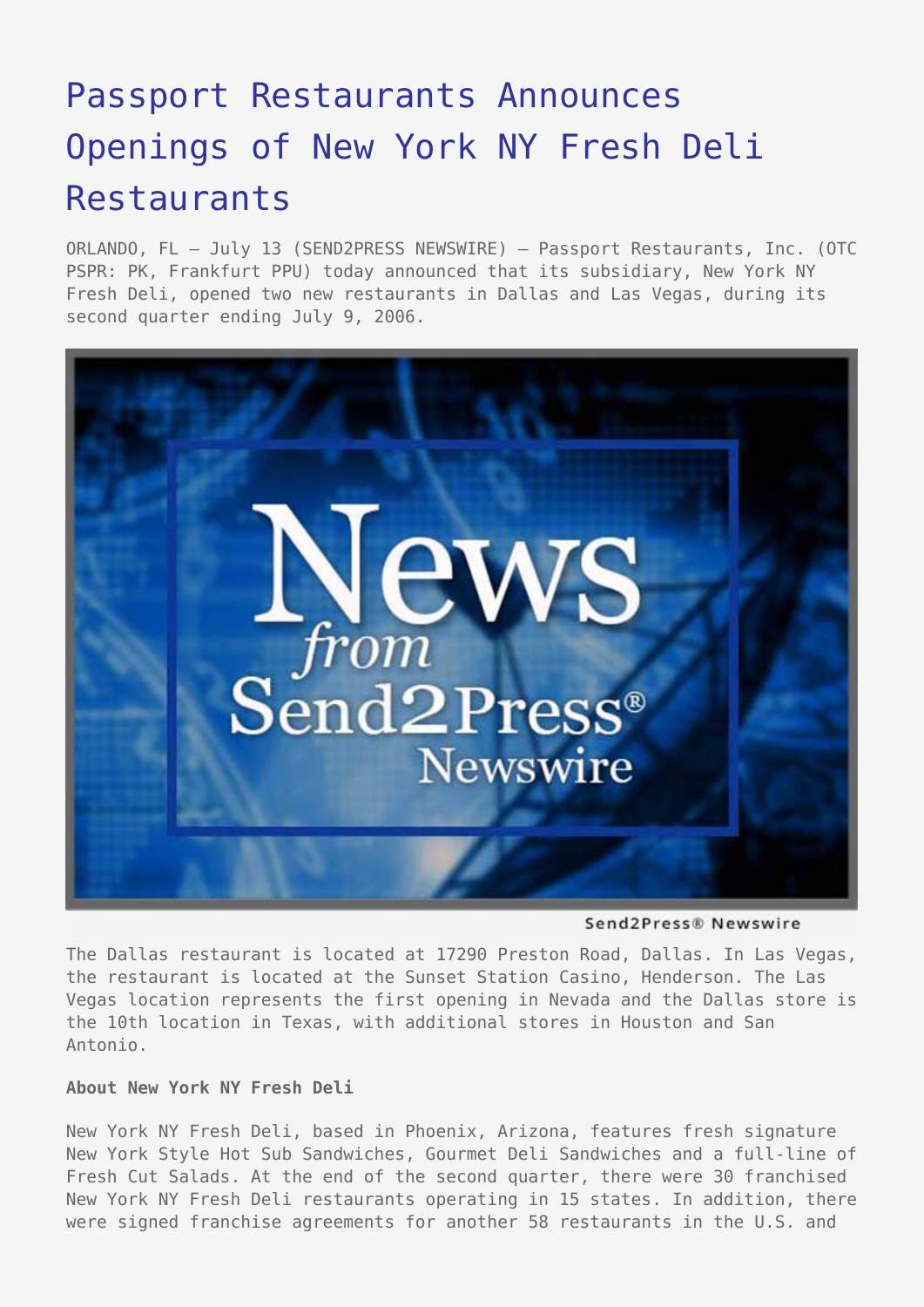# [Passport Restaurants Announces](https://www.send2press.com/wire/2006-07-0713-002a/) [Openings of New York NY Fresh Deli](https://www.send2press.com/wire/2006-07-0713-002a/) **[Restaurants](https://www.send2press.com/wire/2006-07-0713-002a/)**

ORLANDO, FL – July 13 (SEND2PRESS NEWSWIRE) — Passport Restaurants, Inc. (OTC PSPR: PK, Frankfurt PPU) today announced that its subsidiary, New York NY Fresh Deli, opened two new restaurants in Dallas and Las Vegas, during its second quarter ending July 9, 2006.



Send2Press® Newswire

The Dallas restaurant is located at 17290 Preston Road, Dallas. In Las Vegas, the restaurant is located at the Sunset Station Casino, Henderson. The Las Vegas location represents the first opening in Nevada and the Dallas store is the 10th location in Texas, with additional stores in Houston and San Antonio.

## **About New York NY Fresh Deli**

New York NY Fresh Deli, based in Phoenix, Arizona, features fresh signature New York Style Hot Sub Sandwiches, Gourmet Deli Sandwiches and a full-line of Fresh Cut Salads. At the end of the second quarter, there were 30 franchised New York NY Fresh Deli restaurants operating in 15 states. In addition, there were signed franchise agreements for another 58 restaurants in the U.S. and